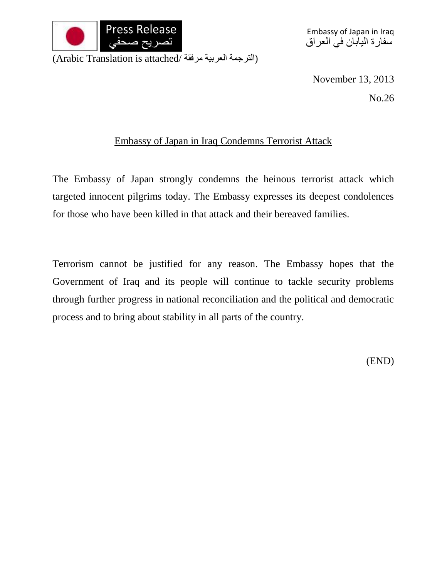

Embassy of Japan in Iraq سفارة اليابان في العراق

(الترجمة العربية مرفقة /Arabic Translation is attached)

November 13, 2013

No.26

## Embassy of Japan in Iraq Condemns Terrorist Attack

The Embassy of Japan strongly condemns the heinous terrorist attack which targeted innocent pilgrims today. The Embassy expresses its deepest condolences for those who have been killed in that attack and their bereaved families.

Terrorism cannot be justified for any reason. The Embassy hopes that the Government of Iraq and its people will continue to tackle security problems through further progress in national reconciliation and the political and democratic process and to bring about stability in all parts of the country.

(END)